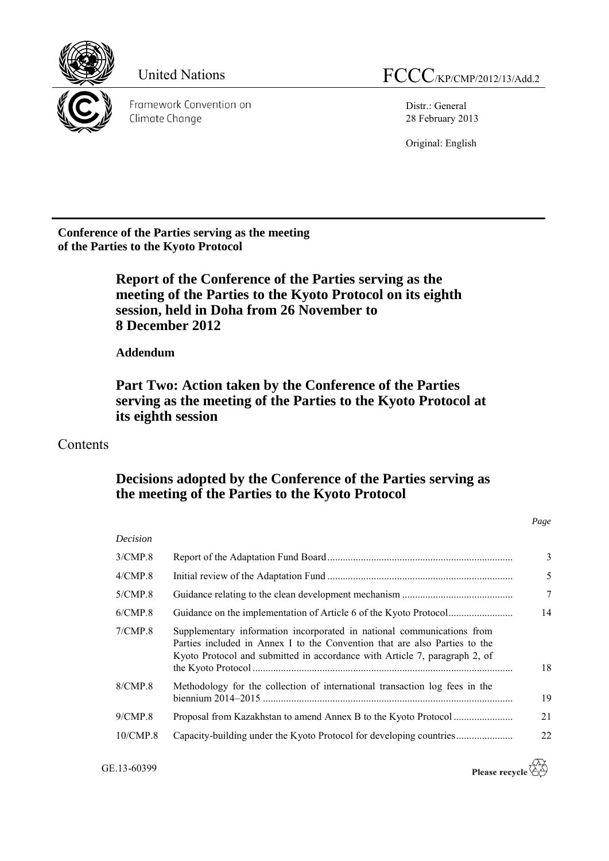

Framework Convention on Climate Change

Distr.: General 28 February 2013

Original: English

**Conference of the Parties serving as the meeting of the Parties to the Kyoto Protocol**

# **Report of the Conference of the Parties serving as the meeting of the Parties to the Kyoto Protocol on its eighth session, held in Doha from 26 November to 8 December 2012**

**Addendum**

**Part Two: Action taken by the Conference of the Parties serving as the meeting of the Parties to the Kyoto Protocol at its eighth session**

# **Contents**

# **Decisions adopted by the Conference of the Parties serving as the meeting of the Parties to the Kyoto Protocol**

| Decision      |                                                                                                                                                                                                                                    |                |
|---------------|------------------------------------------------------------------------------------------------------------------------------------------------------------------------------------------------------------------------------------|----------------|
| 3/CMP.8       |                                                                                                                                                                                                                                    | $\overline{3}$ |
| $4/$ CMP. $8$ |                                                                                                                                                                                                                                    | 5              |
| $5/$ CMP.8    |                                                                                                                                                                                                                                    | 7              |
| 6/CMP.8       |                                                                                                                                                                                                                                    | 14             |
| 7/CMP.8       | Supplementary information incorporated in national communications from<br>Parties included in Annex I to the Convention that are also Parties to the<br>Kyoto Protocol and submitted in accordance with Article 7, paragraph 2, of | 18             |
| 8/CMP.8       | Methodology for the collection of international transaction log fees in the                                                                                                                                                        | 19             |
| $9/$ CMP.8    |                                                                                                                                                                                                                                    | 21             |
| 10/CMP.8      |                                                                                                                                                                                                                                    | 22             |

GE.13-60399

Please recycle  $\overleftrightarrow{C}$ 

*Page*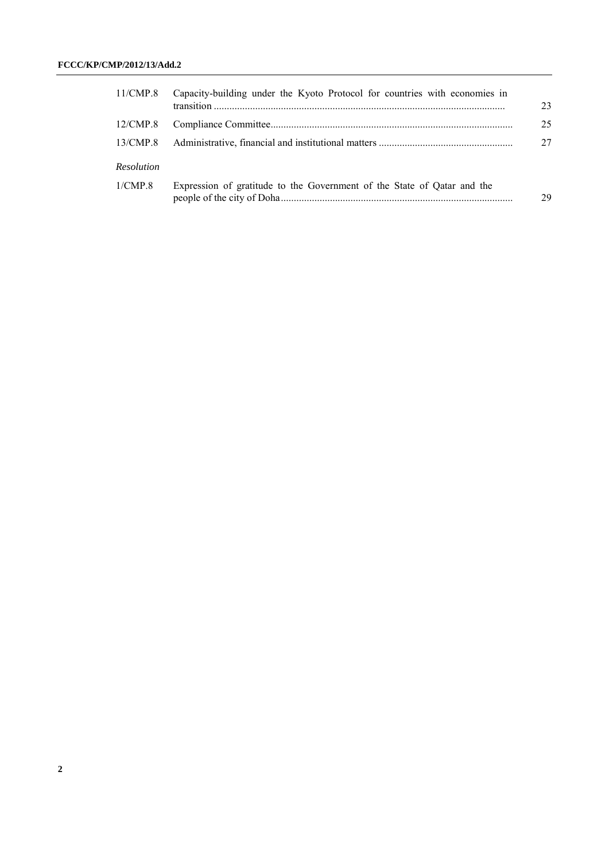| 11/CMP.8   | Capacity-building under the Kyoto Protocol for countries with economies in | 23 |
|------------|----------------------------------------------------------------------------|----|
| 12/CMP.8   |                                                                            | 25 |
| 13/CMP.8   |                                                                            | 27 |
| Resolution |                                                                            |    |
| 1/CMP.8    | Expression of gratitude to the Government of the State of Qatar and the    | 29 |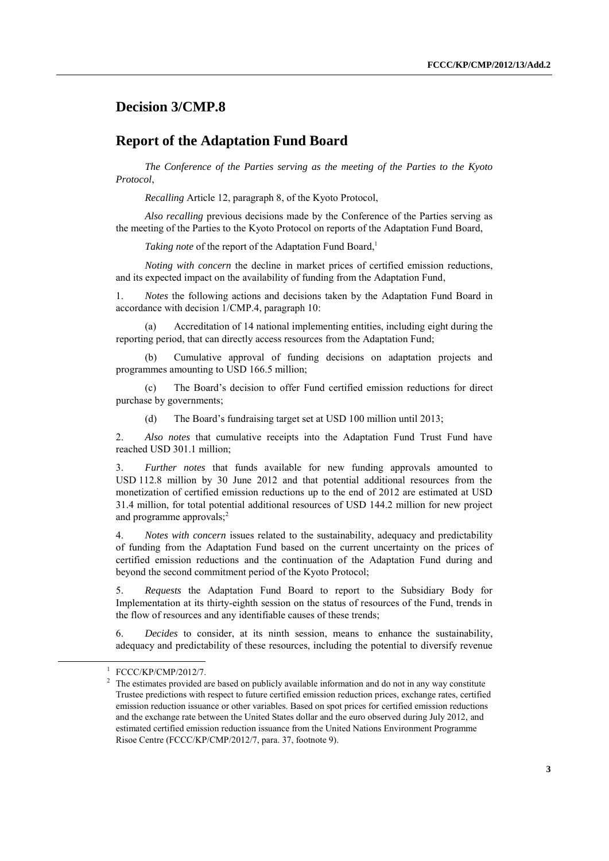## **Decision 3/CMP.8**

### **Report of the Adaptation Fund Board**

*The Conference of the Parties serving as the meeting of the Parties to the Kyoto Protocol*,

*Recalling* Article 12, paragraph 8, of the Kyoto Protocol,

*Also recalling* previous decisions made by the Conference of the Parties serving as the meeting of the Parties to the Kyoto Protocol on reports of the Adaptation Fund Board,

*Taking note* of the report of the Adaptation Fund Board.<sup>1</sup>

*Noting with concern* the decline in market prices of certified emission reductions, and its expected impact on the availability of funding from the Adaptation Fund,

1. *Notes* the following actions and decisions taken by the Adaptation Fund Board in accordance with decision 1/CMP.4, paragraph 10:

(a) Accreditation of 14 national implementing entities, including eight during the reporting period, that can directly access resources from the Adaptation Fund;

(b) Cumulative approval of funding decisions on adaptation projects and programmes amounting to USD 166.5 million;

(c) The Board's decision to offer Fund certified emission reductions for direct purchase by governments;

(d) The Board's fundraising target set at USD 100 million until 2013;

2. *Also notes* that cumulative receipts into the Adaptation Fund Trust Fund have reached USD 301.1 million;

3. *Further notes* that funds available for new funding approvals amounted to USD 112.8 million by 30 June 2012 and that potential additional resources from the monetization of certified emission reductions up to the end of 2012 are estimated at USD 31.4 million, for total potential additional resources of USD 144.2 million for new project and programme approvals; 2

4. *Notes with concern* issues related to the sustainability, adequacy and predictability of funding from the Adaptation Fund based on the current uncertainty on the prices of certified emission reductions and the continuation of the Adaptation Fund during and beyond the second commitment period of the Kyoto Protocol;

5. *Requests* the Adaptation Fund Board to report to the Subsidiary Body for Implementation at its thirty-eighth session on the status of resources of the Fund, trends in the flow of resources and any identifiable causes of these trends;

6. *Decides* to consider, at its ninth session, means to enhance the sustainability, adequacy and predictability of these resources, including the potential to diversify revenue

<sup>1</sup> FCCC/KP/CMP/2012/7.

<sup>2</sup> The estimates provided are based on publicly available information and do not in any way constitute Trustee predictions with respect to future certified emission reduction prices, exchange rates, certified emission reduction issuance or other variables. Based on spot prices for certified emission reductions and the exchange rate between the United States dollar and the euro observed during July 2012, and estimated certified emission reduction issuance from the United Nations Environment Programme Risoe Centre (FCCC/KP/CMP/2012/7, para. 37, footnote 9).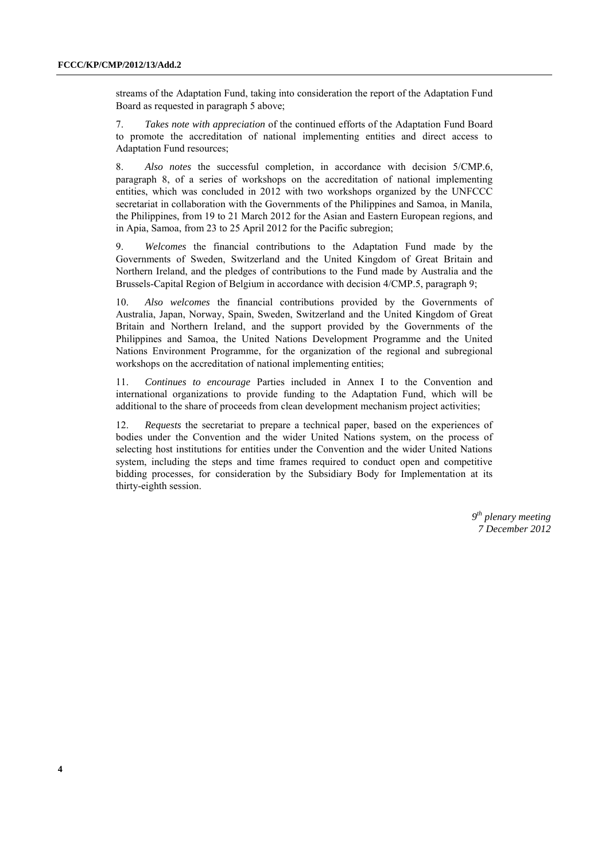streams of the Adaptation Fund, taking into consideration the report of the Adaptation Fund Board as requested in paragraph 5 above;

7. *Takes note with appreciation* of the continued efforts of the Adaptation Fund Board to promote the accreditation of national implementing entities and direct access to Adaptation Fund resources;

8. *Also notes* the successful completion, in accordance with decision 5/CMP.6, paragraph 8, of a series of workshops on the accreditation of national implementing entities, which was concluded in 2012 with two workshops organized by the UNFCCC secretariat in collaboration with the Governments of the Philippines and Samoa, in Manila, the Philippines, from 19 to 21 March 2012 for the Asian and Eastern European regions, and in Apia, Samoa, from 23 to 25 April 2012 for the Pacific subregion;

9. *Welcomes* the financial contributions to the Adaptation Fund made by the Governments of Sweden, Switzerland and the United Kingdom of Great Britain and Northern Ireland, and the pledges of contributions to the Fund made by Australia and the Brussels-Capital Region of Belgium in accordance with decision 4/CMP.5, paragraph 9;

10. *Also welcomes* the financial contributions provided by the Governments of Australia, Japan, Norway, Spain, Sweden, Switzerland and the United Kingdom of Great Britain and Northern Ireland, and the support provided by the Governments of the Philippines and Samoa, the United Nations Development Programme and the United Nations Environment Programme, for the organization of the regional and subregional workshops on the accreditation of national implementing entities;

11. *Continues to encourage* Parties included in Annex I to the Convention and international organizations to provide funding to the Adaptation Fund, which will be additional to the share of proceeds from clean development mechanism project activities;

12. *Requests* the secretariat to prepare a technical paper, based on the experiences of bodies under the Convention and the wider United Nations system, on the process of selecting host institutions for entities under the Convention and the wider United Nations system, including the steps and time frames required to conduct open and competitive bidding processes, for consideration by the Subsidiary Body for Implementation at its thirty-eighth session.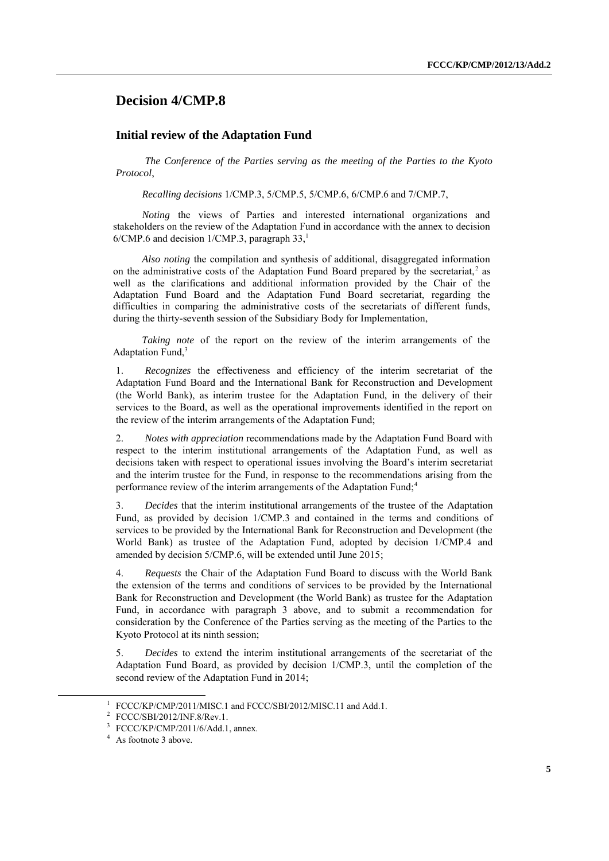### **Decision 4/CMP.8**

#### **Initial review of the Adaptation Fund**

*The Conference of the Parties serving as the meeting of the Parties to the Kyoto Protocol*,

*Recalling decisions* 1/CMP.3, 5/CMP.5, 5/CMP.6, 6/CMP.6 and 7/CMP.7,

*Noting* the views of Parties and interested international organizations and stakeholders on the review of the Adaptation Fund in accordance with the annex to decision  $6/CMP.6$  and decision 1/CMP.3, paragraph 33,<sup>1</sup>

*Also noting* the compilation and synthesis of additional, disaggregated information on the administrative costs of the Adaptation Fund Board prepared by the secretariat,<sup>2</sup> as well as the clarifications and additional information provided by the Chair of the Adaptation Fund Board and the Adaptation Fund Board secretariat, regarding the difficulties in comparing the administrative costs of the secretariats of different funds, during the thirty-seventh session of the Subsidiary Body for Implementation,

*Taking note* of the report on the review of the interim arrangements of the Adaptation Fund,<sup>3</sup>

1. *Recognizes* the effectiveness and efficiency of the interim secretariat of the Adaptation Fund Board and the International Bank for Reconstruction and Development (the World Bank), as interim trustee for the Adaptation Fund, in the delivery of their services to the Board, as well as the operational improvements identified in the report on the review of the interim arrangements of the Adaptation Fund;

2. *Notes with appreciation* recommendations made by the Adaptation Fund Board with respect to the interim institutional arrangements of the Adaptation Fund, as well as decisions taken with respect to operational issues involving the Board's interim secretariat and the interim trustee for the Fund, in response to the recommendations arising from the performance review of the interim arrangements of the Adaptation Fund;<sup>4</sup>

3. *Decides* that the interim institutional arrangements of the trustee of the Adaptation Fund, as provided by decision 1/CMP.3 and contained in the terms and conditions of services to be provided by the International Bank for Reconstruction and Development (the World Bank) as trustee of the Adaptation Fund, adopted by decision 1/CMP.4 and amended by decision 5/CMP.6, will be extended until June 2015;

4. *Requests* the Chair of the Adaptation Fund Board to discuss with the World Bank the extension of the terms and conditions of services to be provided by the International Bank for Reconstruction and Development (the World Bank) as trustee for the Adaptation Fund, in accordance with paragraph 3 above, and to submit a recommendation for consideration by the Conference of the Parties serving as the meeting of the Parties to the Kyoto Protocol at its ninth session;

5. *Decides* to extend the interim institutional arrangements of the secretariat of the Adaptation Fund Board, as provided by decision 1/CMP.3, until the completion of the second review of the Adaptation Fund in 2014;

<sup>&</sup>lt;sup>1</sup> FCCC/KP/CMP/2011/MISC.1 and FCCC/SBI/2012/MISC.11 and Add.1.

<sup>2</sup> FCCC/SBI/2012/INF.8/Rev.1.

<sup>3</sup> FCCC/KP/CMP/2011/6/Add.1, annex.

<sup>&</sup>lt;sup>4</sup> As footnote 3 above.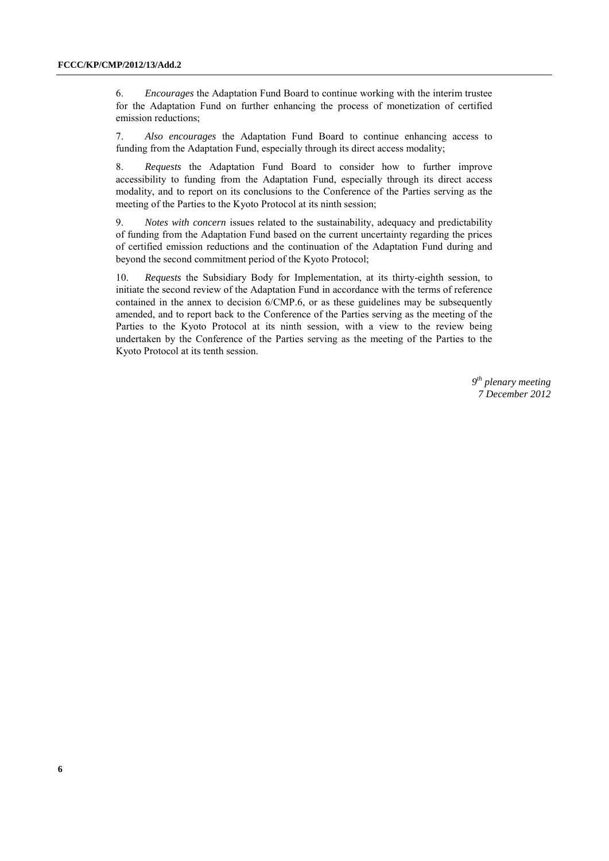6. *Encourages* the Adaptation Fund Board to continue working with the interim trustee for the Adaptation Fund on further enhancing the process of monetization of certified emission reductions;

7. *Also encourages* the Adaptation Fund Board to continue enhancing access to funding from the Adaptation Fund, especially through its direct access modality;

8. *Requests* the Adaptation Fund Board to consider how to further improve accessibility to funding from the Adaptation Fund, especially through its direct access modality, and to report on its conclusions to the Conference of the Parties serving as the meeting of the Parties to the Kyoto Protocol at its ninth session;

9. *Notes with concern* issues related to the sustainability, adequacy and predictability of funding from the Adaptation Fund based on the current uncertainty regarding the prices of certified emission reductions and the continuation of the Adaptation Fund during and beyond the second commitment period of the Kyoto Protocol;

10. *Requests* the Subsidiary Body for Implementation, at its thirty-eighth session, to initiate the second review of the Adaptation Fund in accordance with the terms of reference contained in the annex to decision 6/CMP.6, or as these guidelines may be subsequently amended, and to report back to the Conference of the Parties serving as the meeting of the Parties to the Kyoto Protocol at its ninth session, with a view to the review being undertaken by the Conference of the Parties serving as the meeting of the Parties to the Kyoto Protocol at its tenth session.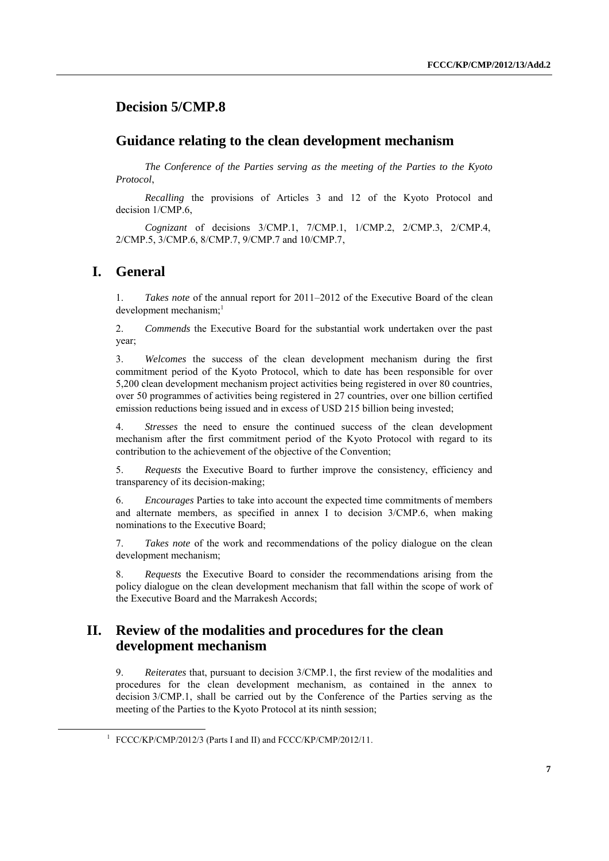## **Decision 5/CMP.8**

### **Guidance relating to the clean development mechanism**

*The Conference of the Parties serving as the meeting of the Parties to the Kyoto Protocol*,

*Recalling* the provisions of Articles 3 and 12 of the Kyoto Protocol and decision 1/CMP 6

*Cognizant* of decisions 3/CMP.1, 7/CMP.1, 1/CMP.2, 2/CMP.3, 2/CMP.4, 2/CMP.5, 3/CMP.6, 8/CMP.7, 9/CMP.7 and 10/CMP.7,

### **I. General**

-

1. *Takes note* of the annual report for 2011–2012 of the Executive Board of the clean development mechanism: $<sup>1</sup>$ </sup>

2. *Commends* the Executive Board for the substantial work undertaken over the past year;

3. *Welcomes* the success of the clean development mechanism during the first commitment period of the Kyoto Protocol, which to date has been responsible for over 5,200 clean development mechanism project activities being registered in over 80 countries, over 50 programmes of activities being registered in 27 countries, over one billion certified emission reductions being issued and in excess of USD 215 billion being invested;

4. *Stresses* the need to ensure the continued success of the clean development mechanism after the first commitment period of the Kyoto Protocol with regard to its contribution to the achievement of the objective of the Convention;

5. *Requests* the Executive Board to further improve the consistency, efficiency and transparency of its decision-making;

6. *Encourages* Parties to take into account the expected time commitments of members and alternate members, as specified in annex I to decision 3/CMP.6, when making nominations to the Executive Board;

7. *Takes note* of the work and recommendations of the policy dialogue on the clean development mechanism;

8. *Requests* the Executive Board to consider the recommendations arising from the policy dialogue on the clean development mechanism that fall within the scope of work of the Executive Board and the Marrakesh Accords;

### **II. Review of the modalities and procedures for the clean development mechanism**

9. *Reiterates* that, pursuant to decision 3/CMP.1, the first review of the modalities and procedures for the clean development mechanism, as contained in the annex to decision 3/CMP.1, shall be carried out by the Conference of the Parties serving as the meeting of the Parties to the Kyoto Protocol at its ninth session;

<sup>&</sup>lt;sup>1</sup> FCCC/KP/CMP/2012/3 (Parts I and II) and FCCC/KP/CMP/2012/11.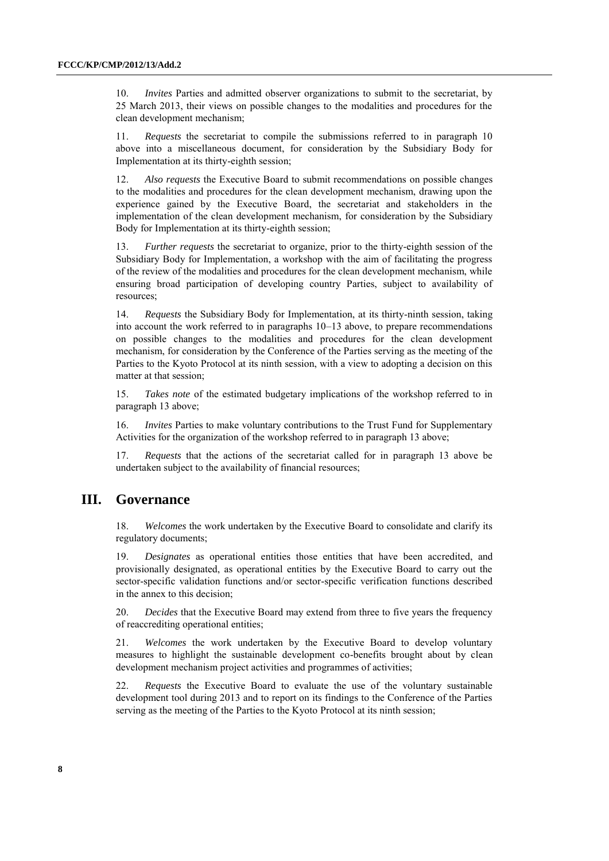10. *Invites* Parties and admitted observer organizations to submit to the secretariat, by 25 March 2013, their views on possible changes to the modalities and procedures for the clean development mechanism;

11. *Requests* the secretariat to compile the submissions referred to in paragraph 10 above into a miscellaneous document, for consideration by the Subsidiary Body for Implementation at its thirty-eighth session;

12. *Also requests* the Executive Board to submit recommendations on possible changes to the modalities and procedures for the clean development mechanism, drawing upon the experience gained by the Executive Board, the secretariat and stakeholders in the implementation of the clean development mechanism, for consideration by the Subsidiary Body for Implementation at its thirty-eighth session;

13. *Further requests* the secretariat to organize, prior to the thirty-eighth session of the Subsidiary Body for Implementation, a workshop with the aim of facilitating the progress of the review of the modalities and procedures for the clean development mechanism, while ensuring broad participation of developing country Parties, subject to availability of resources;

14. *Requests* the Subsidiary Body for Implementation, at its thirty-ninth session, taking into account the work referred to in paragraphs 10–13 above, to prepare recommendations on possible changes to the modalities and procedures for the clean development mechanism, for consideration by the Conference of the Parties serving as the meeting of the Parties to the Kyoto Protocol at its ninth session, with a view to adopting a decision on this matter at that session;

15. *Takes note* of the estimated budgetary implications of the workshop referred to in paragraph 13 above;

16. *Invites* Parties to make voluntary contributions to the Trust Fund for Supplementary Activities for the organization of the workshop referred to in paragraph 13 above;

17. *Requests* that the actions of the secretariat called for in paragraph 13 above be undertaken subject to the availability of financial resources;

## **III. Governance**

18. *Welcomes* the work undertaken by the Executive Board to consolidate and clarify its regulatory documents;

19. *Designates* as operational entities those entities that have been accredited, and provisionally designated, as operational entities by the Executive Board to carry out the sector-specific validation functions and/or sector-specific verification functions described in the annex to this decision;

20. *Decides* that the Executive Board may extend from three to five years the frequency of reaccrediting operational entities;

21. *Welcomes* the work undertaken by the Executive Board to develop voluntary measures to highlight the sustainable development co-benefits brought about by clean development mechanism project activities and programmes of activities;

22. *Requests* the Executive Board to evaluate the use of the voluntary sustainable development tool during 2013 and to report on its findings to the Conference of the Parties serving as the meeting of the Parties to the Kyoto Protocol at its ninth session;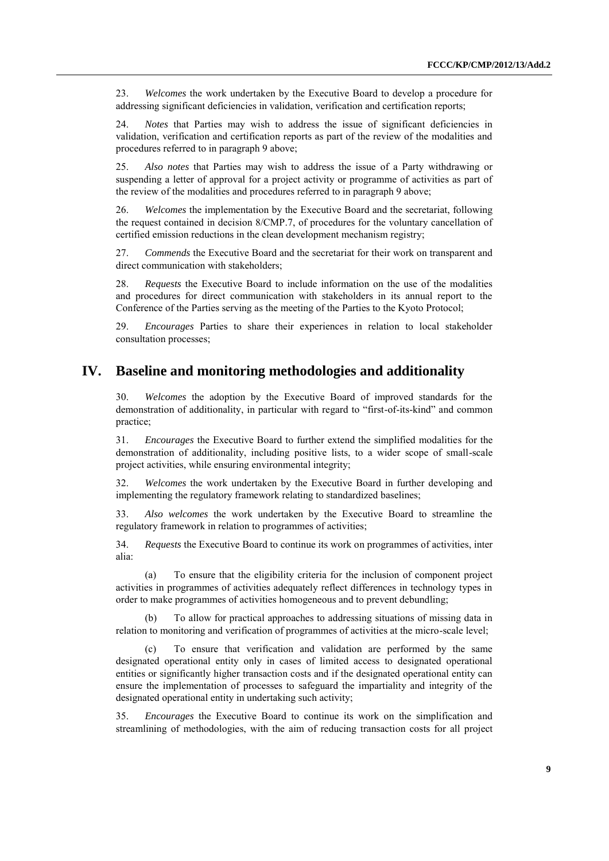23. *Welcomes* the work undertaken by the Executive Board to develop a procedure for addressing significant deficiencies in validation, verification and certification reports;

24. *Notes* that Parties may wish to address the issue of significant deficiencies in validation, verification and certification reports as part of the review of the modalities and procedures referred to in paragraph 9 above;

25. *Also notes* that Parties may wish to address the issue of a Party withdrawing or suspending a letter of approval for a project activity or programme of activities as part of the review of the modalities and procedures referred to in paragraph 9 above;

26. *Welcomes* the implementation by the Executive Board and the secretariat, following the request contained in decision 8/CMP.7, of procedures for the voluntary cancellation of certified emission reductions in the clean development mechanism registry;

27. *Commends* the Executive Board and the secretariat for their work on transparent and direct communication with stakeholders:

28. *Requests* the Executive Board to include information on the use of the modalities and procedures for direct communication with stakeholders in its annual report to the Conference of the Parties serving as the meeting of the Parties to the Kyoto Protocol;

29. *Encourages* Parties to share their experiences in relation to local stakeholder consultation processes;

### **IV. Baseline and monitoring methodologies and additionality**

30. *Welcomes* the adoption by the Executive Board of improved standards for the demonstration of additionality, in particular with regard to "first-of-its-kind" and common practice;

31. *Encourages* the Executive Board to further extend the simplified modalities for the demonstration of additionality, including positive lists, to a wider scope of small-scale project activities, while ensuring environmental integrity;

32. *Welcomes* the work undertaken by the Executive Board in further developing and implementing the regulatory framework relating to standardized baselines;

33. *Also welcomes* the work undertaken by the Executive Board to streamline the regulatory framework in relation to programmes of activities;

34. *Requests* the Executive Board to continue its work on programmes of activities, inter alia:

(a) To ensure that the eligibility criteria for the inclusion of component project activities in programmes of activities adequately reflect differences in technology types in order to make programmes of activities homogeneous and to prevent debundling;

To allow for practical approaches to addressing situations of missing data in relation to monitoring and verification of programmes of activities at the micro-scale level;

(c) To ensure that verification and validation are performed by the same designated operational entity only in cases of limited access to designated operational entities or significantly higher transaction costs and if the designated operational entity can ensure the implementation of processes to safeguard the impartiality and integrity of the designated operational entity in undertaking such activity;

35. *Encourages* the Executive Board to continue its work on the simplification and streamlining of methodologies, with the aim of reducing transaction costs for all project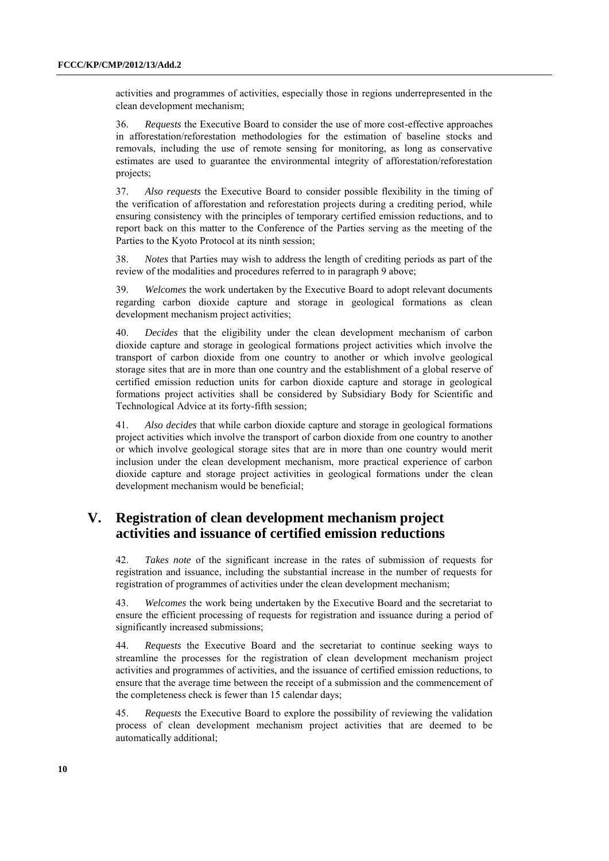activities and programmes of activities, especially those in regions underrepresented in the clean development mechanism;

36. *Requests* the Executive Board to consider the use of more cost-effective approaches in afforestation/reforestation methodologies for the estimation of baseline stocks and removals, including the use of remote sensing for monitoring, as long as conservative estimates are used to guarantee the environmental integrity of afforestation/reforestation projects;

37. *Also requests* the Executive Board to consider possible flexibility in the timing of the verification of afforestation and reforestation projects during a crediting period, while ensuring consistency with the principles of temporary certified emission reductions, and to report back on this matter to the Conference of the Parties serving as the meeting of the Parties to the Kyoto Protocol at its ninth session;

38. *Notes* that Parties may wish to address the length of crediting periods as part of the review of the modalities and procedures referred to in paragraph 9 above;

39. *Welcomes* the work undertaken by the Executive Board to adopt relevant documents regarding carbon dioxide capture and storage in geological formations as clean development mechanism project activities;

40. *Decides* that the eligibility under the clean development mechanism of carbon dioxide capture and storage in geological formations project activities which involve the transport of carbon dioxide from one country to another or which involve geological storage sites that are in more than one country and the establishment of a global reserve of certified emission reduction units for carbon dioxide capture and storage in geological formations project activities shall be considered by Subsidiary Body for Scientific and Technological Advice at its forty-fifth session;

41. *Also decides* that while carbon dioxide capture and storage in geological formations project activities which involve the transport of carbon dioxide from one country to another or which involve geological storage sites that are in more than one country would merit inclusion under the clean development mechanism, more practical experience of carbon dioxide capture and storage project activities in geological formations under the clean development mechanism would be beneficial;

## **V. Registration of clean development mechanism project activities and issuance of certified emission reductions**

42. *Takes note* of the significant increase in the rates of submission of requests for registration and issuance, including the substantial increase in the number of requests for registration of programmes of activities under the clean development mechanism;

43. *Welcomes* the work being undertaken by the Executive Board and the secretariat to ensure the efficient processing of requests for registration and issuance during a period of significantly increased submissions;

44. *Requests* the Executive Board and the secretariat to continue seeking ways to streamline the processes for the registration of clean development mechanism project activities and programmes of activities, and the issuance of certified emission reductions, to ensure that the average time between the receipt of a submission and the commencement of the completeness check is fewer than 15 calendar days;

45. *Requests* the Executive Board to explore the possibility of reviewing the validation process of clean development mechanism project activities that are deemed to be automatically additional;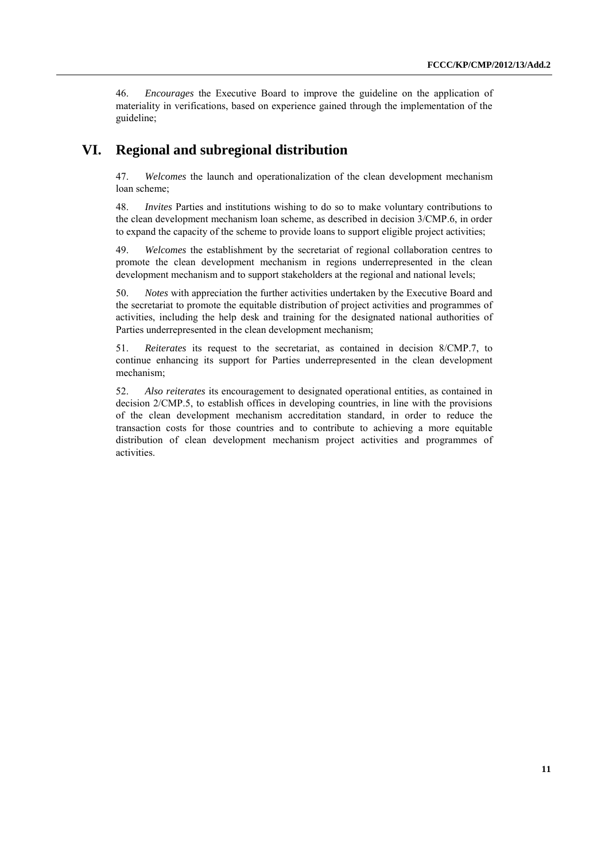46. *Encourages* the Executive Board to improve the guideline on the application of materiality in verifications, based on experience gained through the implementation of the guideline;

### **VI. Regional and subregional distribution**

47. *Welcomes* the launch and operationalization of the clean development mechanism loan scheme;

48. *Invites* Parties and institutions wishing to do so to make voluntary contributions to the clean development mechanism loan scheme, as described in decision 3/CMP.6, in order to expand the capacity of the scheme to provide loans to support eligible project activities;

49. *Welcomes* the establishment by the secretariat of regional collaboration centres to promote the clean development mechanism in regions underrepresented in the clean development mechanism and to support stakeholders at the regional and national levels;

50. *Notes* with appreciation the further activities undertaken by the Executive Board and the secretariat to promote the equitable distribution of project activities and programmes of activities, including the help desk and training for the designated national authorities of Parties underrepresented in the clean development mechanism;

51. *Reiterates* its request to the secretariat, as contained in decision 8/CMP.7, to continue enhancing its support for Parties underrepresented in the clean development mechanism;

52. *Also reiterates* its encouragement to designated operational entities, as contained in decision 2/CMP.5, to establish offices in developing countries, in line with the provisions of the clean development mechanism accreditation standard, in order to reduce the transaction costs for those countries and to contribute to achieving a more equitable distribution of clean development mechanism project activities and programmes of activities.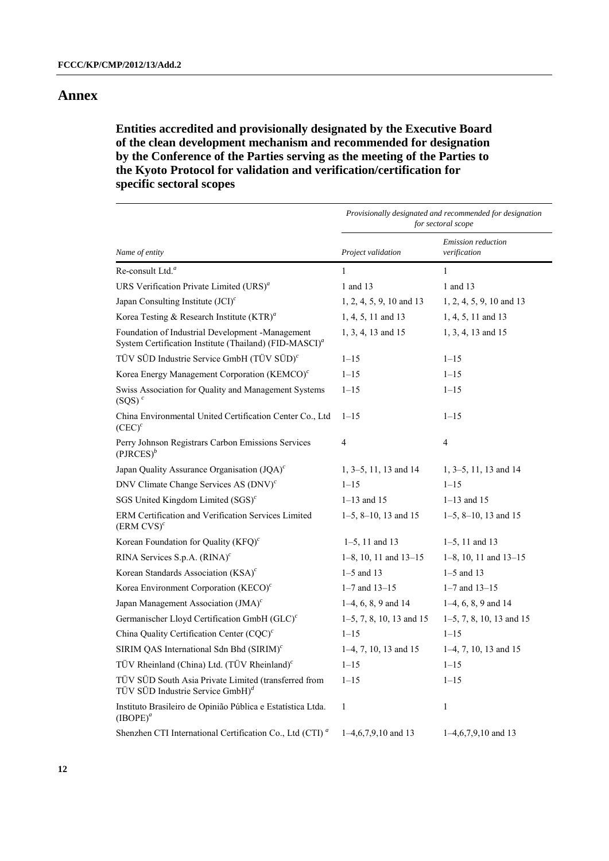## **Annex**

### **Entities accredited and provisionally designated by the Executive Board of the clean development mechanism and recommended for designation by the Conference of the Parties serving as the meeting of the Parties to the Kyoto Protocol for validation and verification/certification for specific sectoral scopes**

|                                                                                                                        | Provisionally designated and recommended for designation<br>for sectoral scope |                                    |  |
|------------------------------------------------------------------------------------------------------------------------|--------------------------------------------------------------------------------|------------------------------------|--|
| Name of entity                                                                                                         | Project validation                                                             | Emission reduction<br>verification |  |
| Re-consult Ltd. <sup>a</sup>                                                                                           | $\mathbf{1}$                                                                   | $\mathbf{1}$                       |  |
| URS Verification Private Limited (URS) <sup>a</sup>                                                                    | 1 and 13                                                                       | 1 and 13                           |  |
| Japan Consulting Institute $(JCI)^c$                                                                                   | 1, 2, 4, 5, 9, 10 and 13                                                       | 1, 2, 4, 5, 9, 10 and 13           |  |
| Korea Testing & Research Institute $(KTR)^a$                                                                           | 1, 4, 5, 11 and 13                                                             | 1, 4, 5, 11 and 13                 |  |
| Foundation of Industrial Development -Management<br>System Certification Institute (Thailand) (FID-MASCI) <sup>a</sup> | 1, 3, 4, 13 and 15                                                             | 1, 3, 4, 13 and 15                 |  |
| TÜV SÜD Industrie Service GmbH (TÜV SÜD) <sup>c</sup>                                                                  | $1 - 15$                                                                       | $1 - 15$                           |  |
| Korea Energy Management Corporation (KEMCO) <sup><math>c</math></sup>                                                  | $1 - 15$                                                                       | $1 - 15$                           |  |
| Swiss Association for Quality and Management Systems<br>$(SQS)^c$                                                      | $1 - 15$                                                                       | $1 - 15$                           |  |
| China Environmental United Certification Center Co., Ltd<br>$(CEC)^c$                                                  | $1 - 15$                                                                       | $1 - 15$                           |  |
| Perry Johnson Registrars Carbon Emissions Services<br>$(PIRCES)^b$                                                     | $\overline{4}$                                                                 | 4                                  |  |
| Japan Quality Assurance Organisation (JQA) <sup>c</sup>                                                                | $1, 3-5, 11, 13$ and 14                                                        | $1, 3-5, 11, 13$ and 14            |  |
| DNV Climate Change Services AS (DNV) <sup>c</sup>                                                                      | $1 - 15$                                                                       | $1 - 15$                           |  |
| SGS United Kingdom Limited $(SGS)^c$                                                                                   | $1 - 13$ and 15                                                                | $1 - 13$ and 15                    |  |
| ERM Certification and Verification Services Limited<br>$(ERM CVS)^c$                                                   | $1-5$ , $8-10$ , 13 and 15                                                     | $1-5$ , 8-10, 13 and 15            |  |
| Korean Foundation for Quality $(KFQ)^c$                                                                                | $1-5$ , 11 and 13                                                              | $1-5$ , 11 and 13                  |  |
| RINA Services S.p.A. (RINA) <sup>c</sup>                                                                               | $1-8$ , 10, 11 and $13-15$                                                     | $1-8$ , 10, 11 and $13-15$         |  |
| Korean Standards Association (KSA) <sup>c</sup>                                                                        | $1-5$ and 13                                                                   | $1-5$ and 13                       |  |
| Korea Environment Corporation (KECO) <sup>c</sup>                                                                      | $1 - 7$ and $13 - 15$                                                          | $1 - 7$ and $13 - 15$              |  |
| Japan Management Association (JMA) <sup>c</sup>                                                                        | $1-4, 6, 8, 9$ and $14$                                                        | $1-4, 6, 8, 9$ and $14$            |  |
| Germanischer Lloyd Certification GmbH (GLC) <sup>c</sup>                                                               | $1-5$ , 7, 8, 10, 13 and 15                                                    | $1-5$ , 7, 8, 10, 13 and 15        |  |
| China Quality Certification Center (CQC) <sup>c</sup>                                                                  | $1 - 15$                                                                       | $1 - 15$                           |  |
| SIRIM QAS International Sdn Bhd (SIRIM) <sup>c</sup>                                                                   | $1-4, 7, 10, 13$ and 15                                                        | $1-4, 7, 10, 13$ and 15            |  |
| TÜV Rheinland (China) Ltd. (TÜV Rheinland) <sup>c</sup>                                                                | $1 - 15$                                                                       | $1 - 15$                           |  |
| TÜV SÜD South Asia Private Limited (transferred from<br>TÜV SÜD Industrie Service $GmbH)^d$                            | $1 - 15$                                                                       | $1 - 15$                           |  |
| Instituto Brasileiro de Opinião Pública e Estatística Ltda.<br>$(IBOPE)^{a}$                                           | 1                                                                              | $\mathbf{1}$                       |  |
| Shenzhen CTI International Certification Co., Ltd (CTI) <sup>a</sup>                                                   | $1-4, 6, 7, 9, 10$ and 13                                                      | $1-4, 6, 7, 9, 10$ and 13          |  |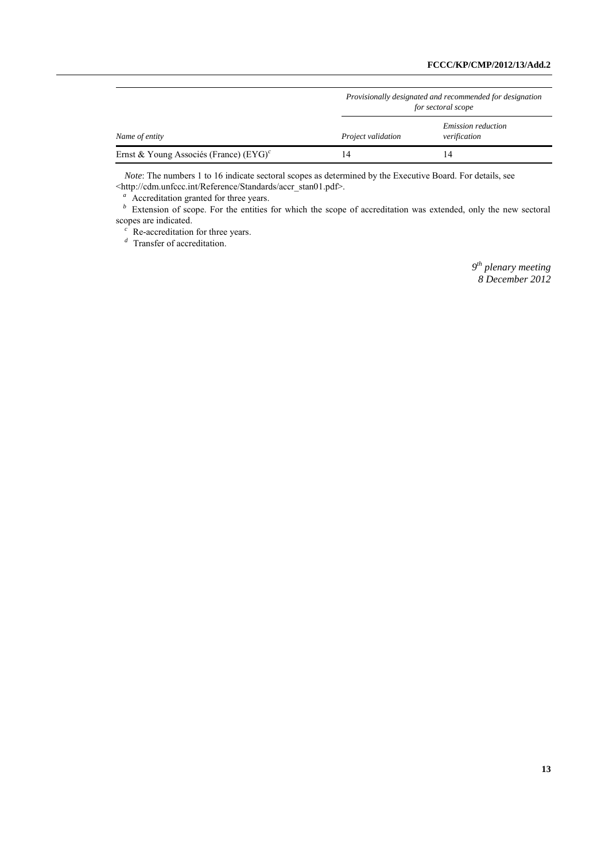|                                           | Provisionally designated and recommended for designation<br>for sectoral scope |                                           |  |
|-------------------------------------------|--------------------------------------------------------------------------------|-------------------------------------------|--|
| Name of entity                            | <i>Project validation</i>                                                      | <i>Emission reduction</i><br>verification |  |
| Ernst & Young Associés (France) $(EYG)^c$ | 14                                                                             | ۱4                                        |  |

*Note*: The numbers 1 to 16 indicate sectoral scopes as determined by the Executive Board. For details, see <http://cdm.unfccc.int/Reference/Standards/accr\_stan01.pdf>.

<sup>a</sup> Accreditation granted for three years.

*b* Extension of scope. For the entities for which the scope of accreditation was extended, only the new sectoral scopes are indicated.

<sup>c</sup> Re-accreditation for three years.

<sup>*d*</sup> Transfer of accreditation.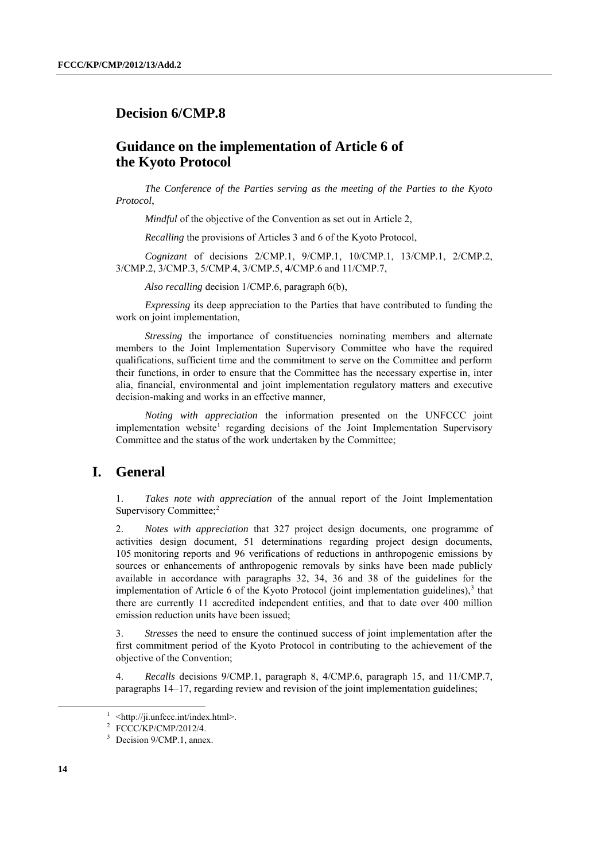### **Decision 6/CMP.8**

### **Guidance on the implementation of Article 6 of the Kyoto Protocol**

*The Conference of the Parties serving as the meeting of the Parties to the Kyoto Protocol*,

*Mindful* of the objective of the Convention as set out in Article 2.

*Recalling* the provisions of Articles 3 and 6 of the Kyoto Protocol,

*Cognizant* of decisions 2/CMP.1, 9/CMP.1, 10/CMP.1, 13/CMP.1, 2/CMP.2, 3/CMP.2, 3/CMP.3, 5/CMP.4, 3/CMP.5, 4/CMP.6 and 11/CMP.7,

*Also recalling* decision 1/CMP.6, paragraph 6(b),

*Expressing* its deep appreciation to the Parties that have contributed to funding the work on joint implementation,

*Stressing* the importance of constituencies nominating members and alternate members to the Joint Implementation Supervisory Committee who have the required qualifications, sufficient time and the commitment to serve on the Committee and perform their functions, in order to ensure that the Committee has the necessary expertise in, inter alia, financial, environmental and joint implementation regulatory matters and executive decision-making and works in an effective manner,

*Noting with appreciation* the information presented on the UNFCCC joint implementation website<sup>1</sup> regarding decisions of the Joint Implementation Supervisory Committee and the status of the work undertaken by the Committee;

### **I. General**

1. *Takes note with appreciation* of the annual report of the Joint Implementation Supervisory Committee;<sup>2</sup>

2. *Notes with appreciation* that 327 project design documents, one programme of activities design document, 51 determinations regarding project design documents, 105 monitoring reports and 96 verifications of reductions in anthropogenic emissions by sources or enhancements of anthropogenic removals by sinks have been made publicly available in accordance with paragraphs 32, 34, 36 and 38 of the guidelines for the implementation of Article 6 of the Kyoto Protocol (joint implementation guidelines),<sup>3</sup> that there are currently 11 accredited independent entities, and that to date over 400 million emission reduction units have been issued;

3. *Stresses* the need to ensure the continued success of joint implementation after the first commitment period of the Kyoto Protocol in contributing to the achievement of the objective of the Convention;

4. *Recalls* decisions 9/CMP.1, paragraph 8, 4/CMP.6, paragraph 15, and 11/CMP.7, paragraphs 14–17, regarding review and revision of the joint implementation guidelines;

<sup>&</sup>lt;sup>1</sup> <http://ji.unfccc.int/index.html>.

<sup>2</sup> FCCC/KP/CMP/2012/4.

<sup>&</sup>lt;sup>3</sup> Decision 9/CMP.1, annex.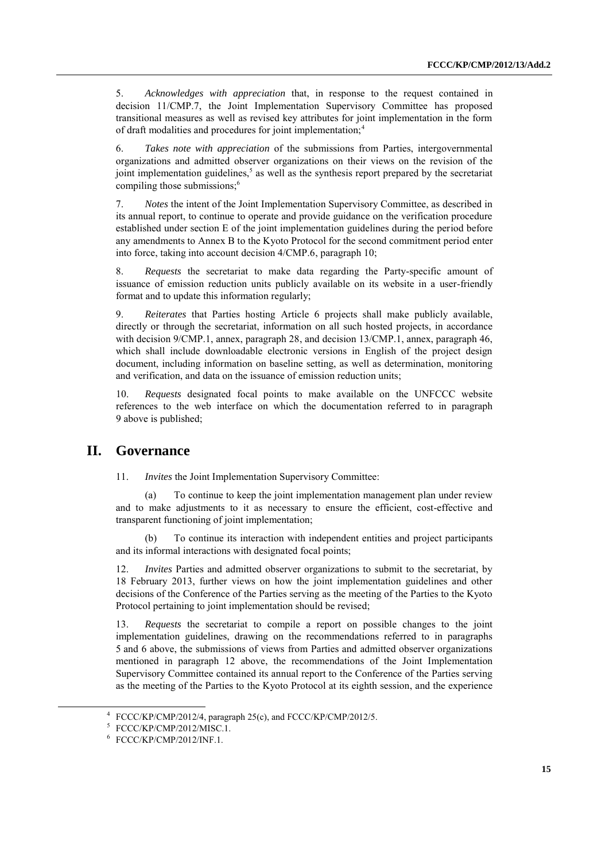5. *Acknowledges with appreciation* that, in response to the request contained in decision 11/CMP.7, the Joint Implementation Supervisory Committee has proposed transitional measures as well as revised key attributes for joint implementation in the form of draft modalities and procedures for joint implementation:<sup>4</sup>

6. *Takes note with appreciation* of the submissions from Parties, intergovernmental organizations and admitted observer organizations on their views on the revision of the joint implementation guidelines,<sup>5</sup> as well as the synthesis report prepared by the secretariat compiling those submissions;<sup>6</sup>

7. *Notes* the intent of the Joint Implementation Supervisory Committee, as described in its annual report, to continue to operate and provide guidance on the verification procedure established under section E of the joint implementation guidelines during the period before any amendments to Annex B to the Kyoto Protocol for the second commitment period enter into force, taking into account decision 4/CMP.6, paragraph 10;

8. *Requests* the secretariat to make data regarding the Party-specific amount of issuance of emission reduction units publicly available on its website in a user-friendly format and to update this information regularly;

9. *Reiterates* that Parties hosting Article 6 projects shall make publicly available, directly or through the secretariat, information on all such hosted projects, in accordance with decision 9/CMP.1, annex, paragraph 28, and decision 13/CMP.1, annex, paragraph 46, which shall include downloadable electronic versions in English of the project design document, including information on baseline setting, as well as determination, monitoring and verification, and data on the issuance of emission reduction units;

10. *Requests* designated focal points to make available on the UNFCCC website references to the web interface on which the documentation referred to in paragraph 9 above is published;

#### **II. Governance**

11. *Invites* the Joint Implementation Supervisory Committee:

To continue to keep the joint implementation management plan under review and to make adjustments to it as necessary to ensure the efficient, cost-effective and transparent functioning of joint implementation;

(b) To continue its interaction with independent entities and project participants and its informal interactions with designated focal points;

12. *Invites* Parties and admitted observer organizations to submit to the secretariat, by 18 February 2013, further views on how the joint implementation guidelines and other decisions of the Conference of the Parties serving as the meeting of the Parties to the Kyoto Protocol pertaining to joint implementation should be revised;

13. *Requests* the secretariat to compile a report on possible changes to the joint implementation guidelines, drawing on the recommendations referred to in paragraphs 5 and 6 above, the submissions of views from Parties and admitted observer organizations mentioned in paragraph 12 above, the recommendations of the Joint Implementation Supervisory Committee contained its annual report to the Conference of the Parties serving as the meeting of the Parties to the Kyoto Protocol at its eighth session, and the experience

<sup>4</sup> FCCC/KP/CMP/2012/4, paragraph 25(c), and FCCC/KP/CMP/2012/5.

<sup>5</sup> FCCC/KP/CMP/2012/MISC.1.

<sup>6</sup> FCCC/KP/CMP/2012/INF.1.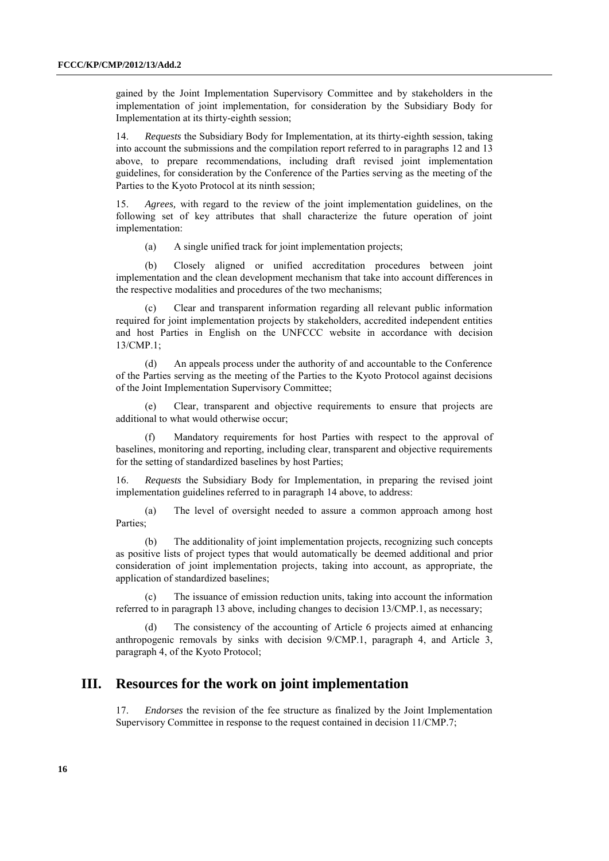gained by the Joint Implementation Supervisory Committee and by stakeholders in the implementation of joint implementation, for consideration by the Subsidiary Body for Implementation at its thirty-eighth session;

14. *Requests* the Subsidiary Body for Implementation, at its thirty-eighth session, taking into account the submissions and the compilation report referred to in paragraphs 12 and 13 above, to prepare recommendations, including draft revised joint implementation guidelines, for consideration by the Conference of the Parties serving as the meeting of the Parties to the Kyoto Protocol at its ninth session;

15. *Agrees,* with regard to the review of the joint implementation guidelines, on the following set of key attributes that shall characterize the future operation of joint implementation:

(a) A single unified track for joint implementation projects;

(b) Closely aligned or unified accreditation procedures between joint implementation and the clean development mechanism that take into account differences in the respective modalities and procedures of the two mechanisms;

(c) Clear and transparent information regarding all relevant public information required for joint implementation projects by stakeholders, accredited independent entities and host Parties in English on the UNFCCC website in accordance with decision  $13/CMP$ <sup>1</sup>

(d) An appeals process under the authority of and accountable to the Conference of the Parties serving as the meeting of the Parties to the Kyoto Protocol against decisions of the Joint Implementation Supervisory Committee;

(e) Clear, transparent and objective requirements to ensure that projects are additional to what would otherwise occur;

(f) Mandatory requirements for host Parties with respect to the approval of baselines, monitoring and reporting, including clear, transparent and objective requirements for the setting of standardized baselines by host Parties;

16. *Requests* the Subsidiary Body for Implementation, in preparing the revised joint implementation guidelines referred to in paragraph 14 above, to address:

(a) The level of oversight needed to assure a common approach among host Parties;

(b) The additionality of joint implementation projects, recognizing such concepts as positive lists of project types that would automatically be deemed additional and prior consideration of joint implementation projects, taking into account, as appropriate, the application of standardized baselines;

(c) The issuance of emission reduction units, taking into account the information referred to in paragraph 13 above, including changes to decision 13/CMP.1, as necessary;

(d) The consistency of the accounting of Article 6 projects aimed at enhancing anthropogenic removals by sinks with decision 9/CMP.1, paragraph 4, and Article 3, paragraph 4, of the Kyoto Protocol;

### **III. Resources for the work on joint implementation**

17. *Endorses* the revision of the fee structure as finalized by the Joint Implementation Supervisory Committee in response to the request contained in decision 11/CMP.7;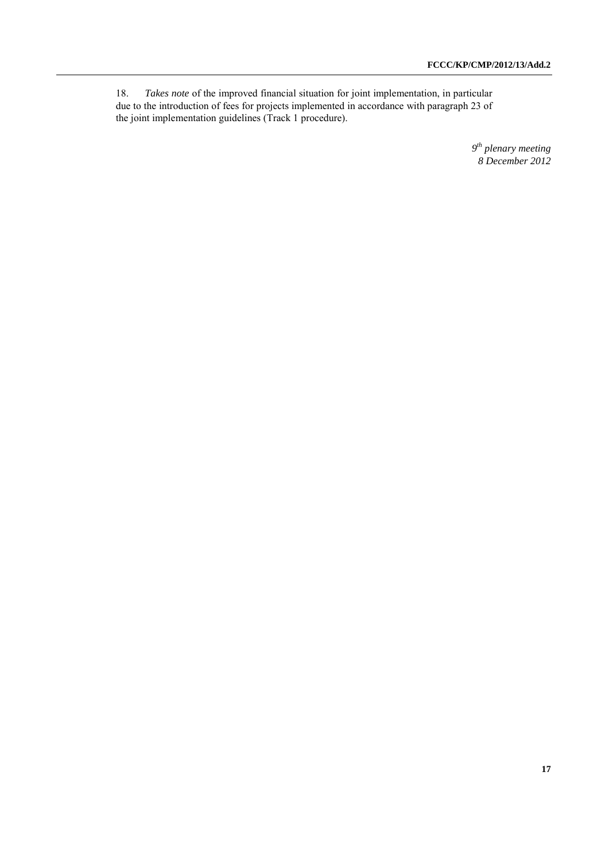18. *Takes note* of the improved financial situation for joint implementation, in particular due to the introduction of fees for projects implemented in accordance with paragraph 23 of the joint implementation guidelines (Track 1 procedure).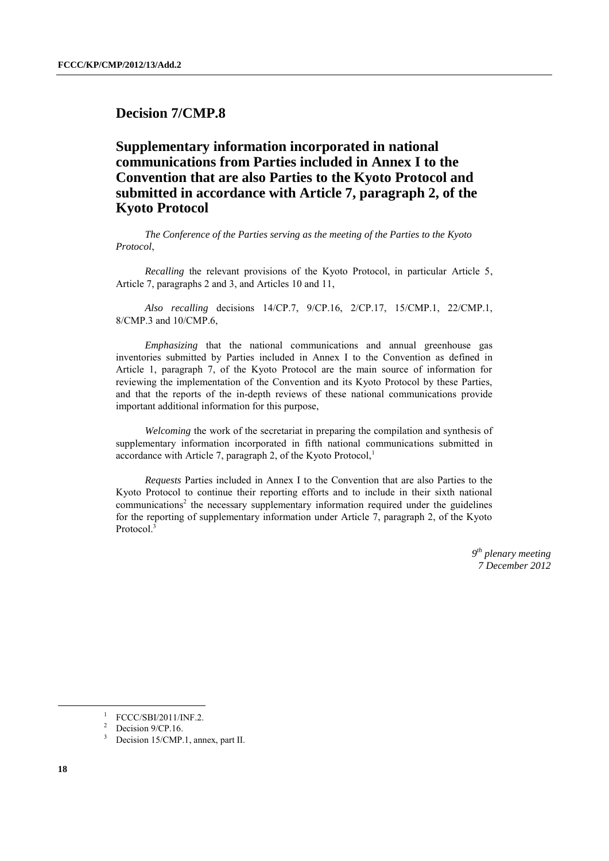### **Decision 7/CMP.8**

## **Supplementary information incorporated in national communications from Parties included in Annex I to the Convention that are also Parties to the Kyoto Protocol and submitted in accordance with Article 7, paragraph 2, of the Kyoto Protocol**

*The Conference of the Parties serving as the meeting of the Parties to the Kyoto Protocol*,

*Recalling* the relevant provisions of the Kyoto Protocol, in particular Article 5, Article 7, paragraphs 2 and 3, and Articles 10 and 11,

*Also recalling* decisions 14/CP.7, 9/CP.16, 2/CP.17, 15/CMP.1, 22/CMP.1, 8/CMP.3 and 10/CMP.6,

*Emphasizing* that the national communications and annual greenhouse gas inventories submitted by Parties included in Annex I to the Convention as defined in Article 1, paragraph 7, of the Kyoto Protocol are the main source of information for reviewing the implementation of the Convention and its Kyoto Protocol by these Parties, and that the reports of the in-depth reviews of these national communications provide important additional information for this purpose,

*Welcoming* the work of the secretariat in preparing the compilation and synthesis of supplementary information incorporated in fifth national communications submitted in accordance with Article 7, paragraph 2, of the Kyoto Protocol, $<sup>1</sup>$ </sup>

*Requests* Parties included in Annex I to the Convention that are also Parties to the Kyoto Protocol to continue their reporting efforts and to include in their sixth national communications<sup>2</sup> the necessary supplementary information required under the guidelines for the reporting of supplementary information under Article 7, paragraph 2, of the Kyoto Protocol.<sup>3</sup>

> *9 th plenary meeting 7 December 2012*

1

<sup>1</sup> FCCC/SBI/2011/INF.2.

Decision 9/CP.16.

Decision 15/CMP.1, annex, part II.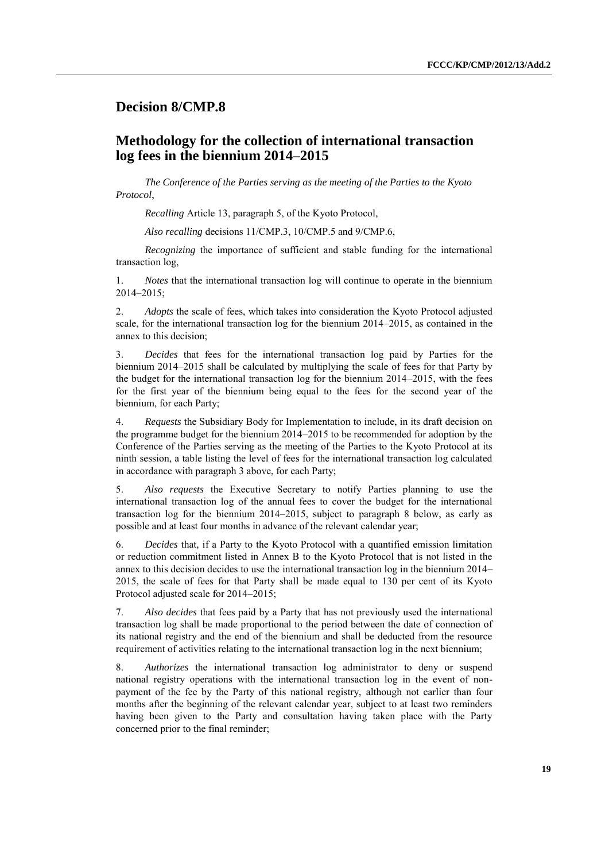### **Decision 8/CMP.8**

## **Methodology for the collection of international transaction log fees in the biennium 2014–2015**

*The Conference of the Parties serving as the meeting of the Parties to the Kyoto Protocol*,

*Recalling* Article 13, paragraph 5, of the Kyoto Protocol,

*Also recalling* decisions 11/CMP.3, 10/CMP.5 and 9/CMP.6,

*Recognizing* the importance of sufficient and stable funding for the international transaction log,

1. *Notes* that the international transaction log will continue to operate in the biennium 2014–2015;

2. *Adopts* the scale of fees, which takes into consideration the Kyoto Protocol adjusted scale, for the international transaction log for the biennium 2014–2015, as contained in the annex to this decision;

3. *Decides* that fees for the international transaction log paid by Parties for the biennium 2014–2015 shall be calculated by multiplying the scale of fees for that Party by the budget for the international transaction log for the biennium 2014–2015, with the fees for the first year of the biennium being equal to the fees for the second year of the biennium, for each Party;

4. *Requests* the Subsidiary Body for Implementation to include, in its draft decision on the programme budget for the biennium 2014–2015 to be recommended for adoption by the Conference of the Parties serving as the meeting of the Parties to the Kyoto Protocol at its ninth session, a table listing the level of fees for the international transaction log calculated in accordance with paragraph 3 above, for each Party;

5. *Also requests* the Executive Secretary to notify Parties planning to use the international transaction log of the annual fees to cover the budget for the international transaction log for the biennium 2014–2015, subject to paragraph 8 below, as early as possible and at least four months in advance of the relevant calendar year;

6. *Decides* that*,* if a Party to the Kyoto Protocol with a quantified emission limitation or reduction commitment listed in Annex B to the Kyoto Protocol that is not listed in the annex to this decision decides to use the international transaction log in the biennium 2014– 2015, the scale of fees for that Party shall be made equal to 130 per cent of its Kyoto Protocol adjusted scale for 2014–2015;

7. *Also decides* that fees paid by a Party that has not previously used the international transaction log shall be made proportional to the period between the date of connection of its national registry and the end of the biennium and shall be deducted from the resource requirement of activities relating to the international transaction log in the next biennium;

8. *Authorizes* the international transaction log administrator to deny or suspend national registry operations with the international transaction log in the event of nonpayment of the fee by the Party of this national registry, although not earlier than four months after the beginning of the relevant calendar year, subject to at least two reminders having been given to the Party and consultation having taken place with the Party concerned prior to the final reminder;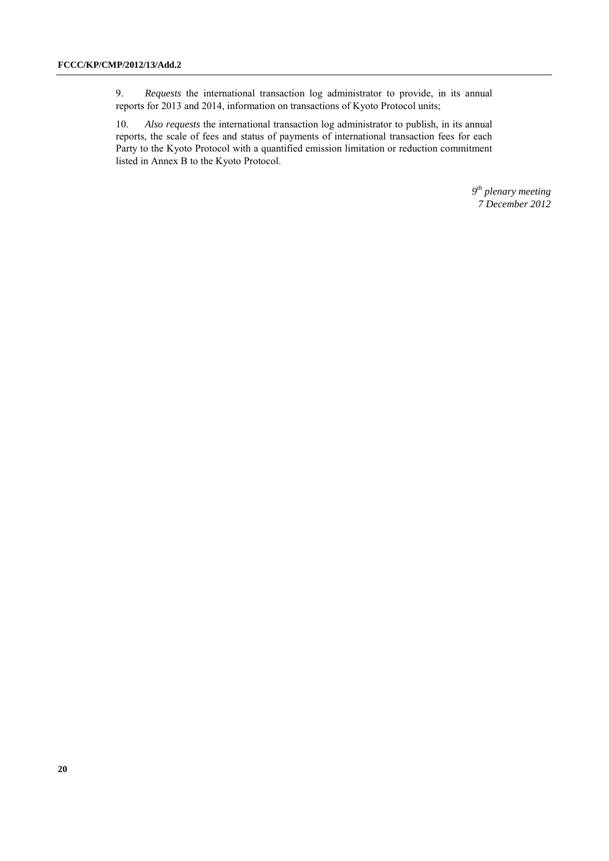9. *Requests* the international transaction log administrator to provide, in its annual reports for 2013 and 2014, information on transactions of Kyoto Protocol units;

10. *Also requests* the international transaction log administrator to publish, in its annual reports, the scale of fees and status of payments of international transaction fees for each Party to the Kyoto Protocol with a quantified emission limitation or reduction commitment listed in Annex B to the Kyoto Protocol.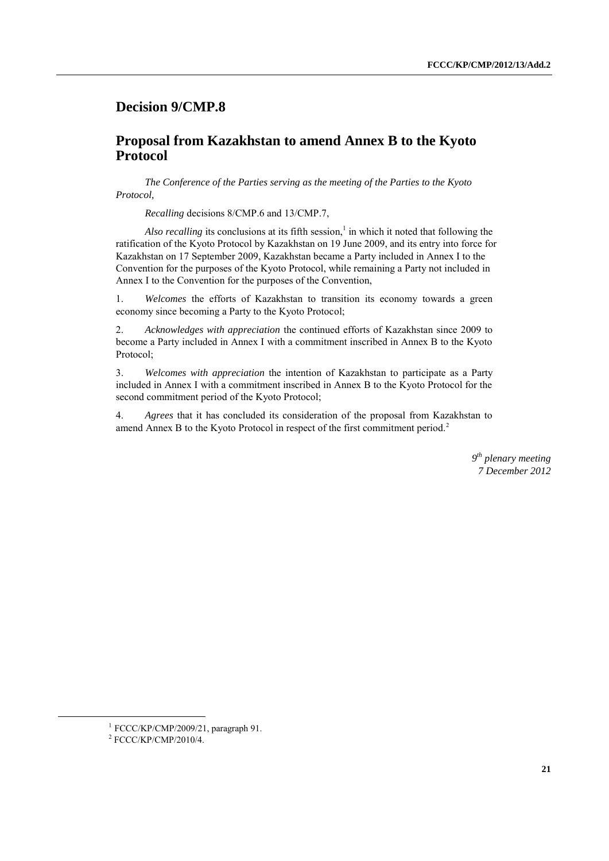## **Decision 9/CMP.8**

## **Proposal from Kazakhstan to amend Annex B to the Kyoto Protocol**

*The Conference of the Parties serving as the meeting of the Parties to the Kyoto Protocol,*

*Recalling* decisions 8/CMP.6 and 13/CMP.7,

Also recalling its conclusions at its fifth session,<sup>1</sup> in which it noted that following the ratification of the Kyoto Protocol by Kazakhstan on 19 June 2009, and its entry into force for Kazakhstan on 17 September 2009, Kazakhstan became a Party included in Annex I to the Convention for the purposes of the Kyoto Protocol, while remaining a Party not included in Annex I to the Convention for the purposes of the Convention,

1. *Welcomes* the efforts of Kazakhstan to transition its economy towards a green economy since becoming a Party to the Kyoto Protocol;

2. *Acknowledges with appreciation* the continued efforts of Kazakhstan since 2009 to become a Party included in Annex I with a commitment inscribed in Annex B to the Kyoto Protocol;

3. *Welcomes with appreciation* the intention of Kazakhstan to participate as a Party included in Annex I with a commitment inscribed in Annex B to the Kyoto Protocol for the second commitment period of the Kyoto Protocol;

4. *Agrees* that it has concluded its consideration of the proposal from Kazakhstan to amend Annex B to the Kyoto Protocol in respect of the first commitment period.<sup>2</sup>

> *9 th plenary meeting 7 December 2012*

<sup>1</sup> FCCC/KP/CMP/2009/21, paragraph 91.

<sup>2</sup> FCCC/KP/CMP/2010/4.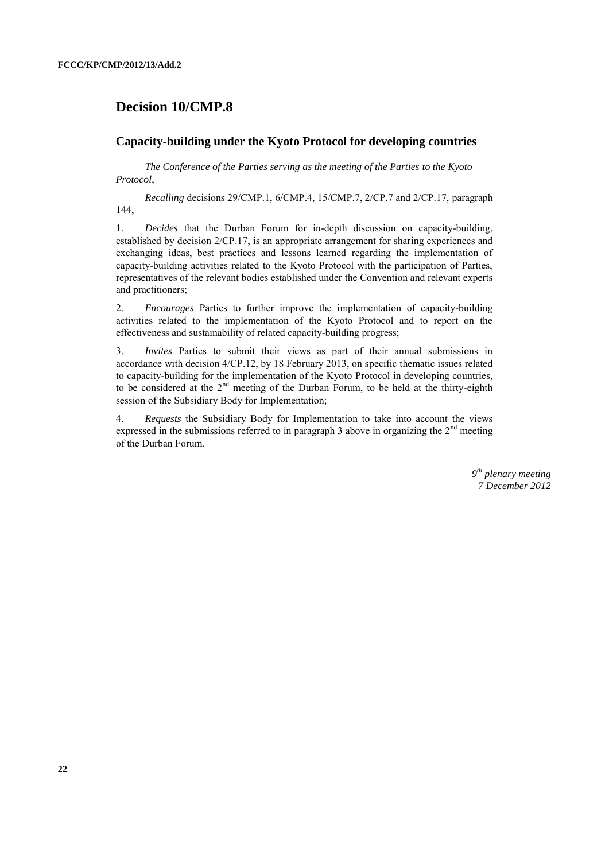# **Decision 10/CMP.8**

#### **Capacity-building under the Kyoto Protocol for developing countries**

*The Conference of the Parties serving as the meeting of the Parties to the Kyoto Protocol*,

*Recalling* decisions 29/CMP.1, 6/CMP.4, 15/CMP.7, 2/CP.7 and 2/CP.17, paragraph 144,

1. *Decides* that the Durban Forum for in-depth discussion on capacity-building, established by decision 2/CP.17, is an appropriate arrangement for sharing experiences and exchanging ideas, best practices and lessons learned regarding the implementation of capacity-building activities related to the Kyoto Protocol with the participation of Parties, representatives of the relevant bodies established under the Convention and relevant experts and practitioners;

2. *Encourages* Parties to further improve the implementation of capacity-building activities related to the implementation of the Kyoto Protocol and to report on the effectiveness and sustainability of related capacity-building progress;

3. *Invites* Parties to submit their views as part of their annual submissions in accordance with decision 4/CP.12, by 18 February 2013, on specific thematic issues related to capacity-building for the implementation of the Kyoto Protocol in developing countries, to be considered at the 2<sup>nd</sup> meeting of the Durban Forum, to be held at the thirty-eighth session of the Subsidiary Body for Implementation;

4. *Requests* the Subsidiary Body for Implementation to take into account the views expressed in the submissions referred to in paragraph 3 above in organizing the  $2<sup>nd</sup>$  meeting of the Durban Forum.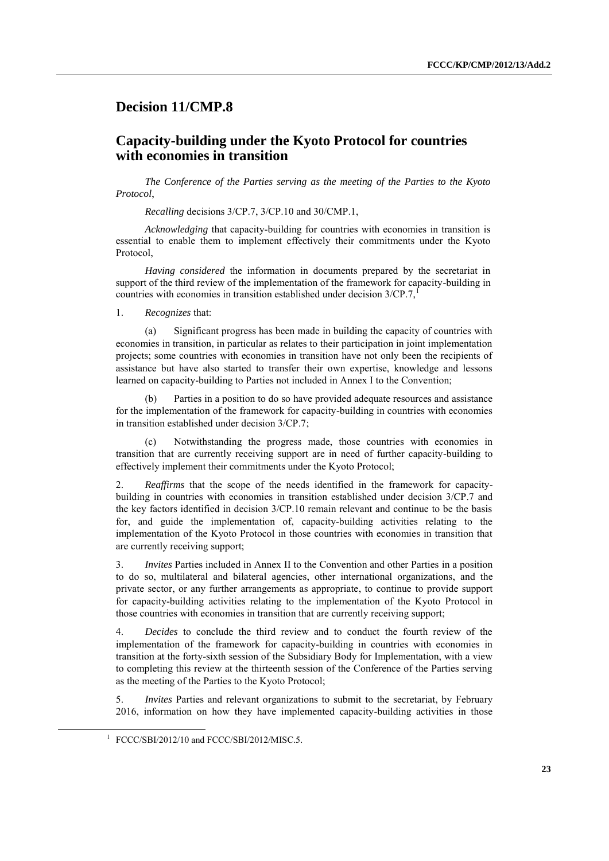### **Decision 11/CMP.8**

## **Capacity-building under the Kyoto Protocol for countries with economies in transition**

*The Conference of the Parties serving as the meeting of the Parties to the Kyoto Protocol*,

*Recalling* decisions 3/CP.7, 3/CP.10 and 30/CMP.1,

*Acknowledging* that capacity-building for countries with economies in transition is essential to enable them to implement effectively their commitments under the Kyoto Protocol,

*Having considered* the information in documents prepared by the secretariat in support of the third review of the implementation of the framework for capacity-building in countries with economies in transition established under decision 3/CP.7,

1. *Recognizes* that:

(a) Significant progress has been made in building the capacity of countries with economies in transition, in particular as relates to their participation in joint implementation projects; some countries with economies in transition have not only been the recipients of assistance but have also started to transfer their own expertise, knowledge and lessons learned on capacity-building to Parties not included in Annex I to the Convention;

(b) Parties in a position to do so have provided adequate resources and assistance for the implementation of the framework for capacity-building in countries with economies in transition established under decision 3/CP.7;

Notwithstanding the progress made, those countries with economies in transition that are currently receiving support are in need of further capacity-building to effectively implement their commitments under the Kyoto Protocol;

2. *Reaffirms* that the scope of the needs identified in the framework for capacitybuilding in countries with economies in transition established under decision 3/CP.7 and the key factors identified in decision 3/CP.10 remain relevant and continue to be the basis for, and guide the implementation of, capacity-building activities relating to the implementation of the Kyoto Protocol in those countries with economies in transition that are currently receiving support;

3. *Invites* Parties included in Annex II to the Convention and other Parties in a position to do so, multilateral and bilateral agencies, other international organizations, and the private sector, or any further arrangements as appropriate, to continue to provide support for capacity-building activities relating to the implementation of the Kyoto Protocol in those countries with economies in transition that are currently receiving support;

4. *Decides* to conclude the third review and to conduct the fourth review of the implementation of the framework for capacity-building in countries with economies in transition at the forty-sixth session of the Subsidiary Body for Implementation, with a view to completing this review at the thirteenth session of the Conference of the Parties serving as the meeting of the Parties to the Kyoto Protocol;

5. *Invites* Parties and relevant organizations to submit to the secretariat, by February 2016, information on how they have implemented capacity-building activities in those

<sup>1</sup> FCCC/SBI/2012/10 and FCCC/SBI/2012/MISC.5.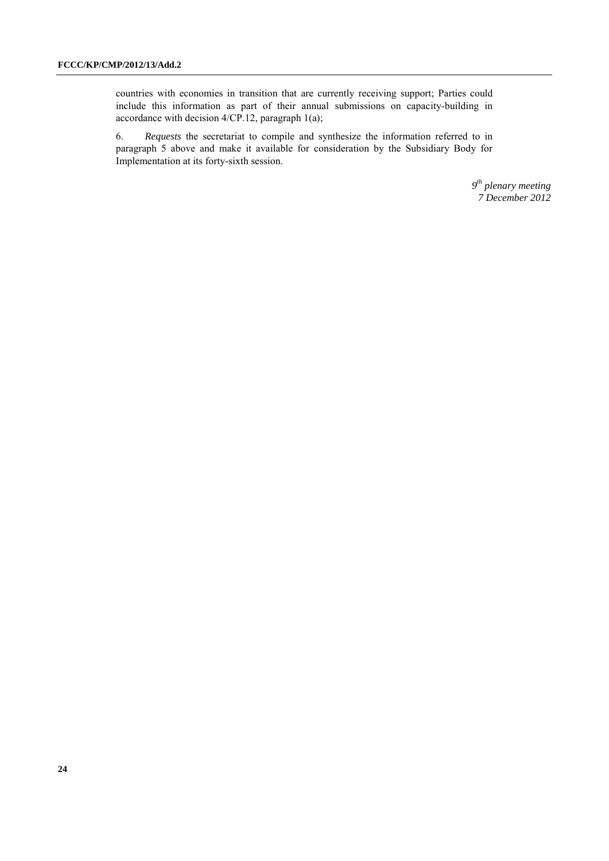countries with economies in transition that are currently receiving support; Parties could include this information as part of their annual submissions on capacity-building in accordance with decision 4/CP.12, paragraph 1(a);

6. *Requests* the secretariat to compile and synthesize the information referred to in paragraph 5 above and make it available for consideration by the Subsidiary Body for Implementation at its forty-sixth session.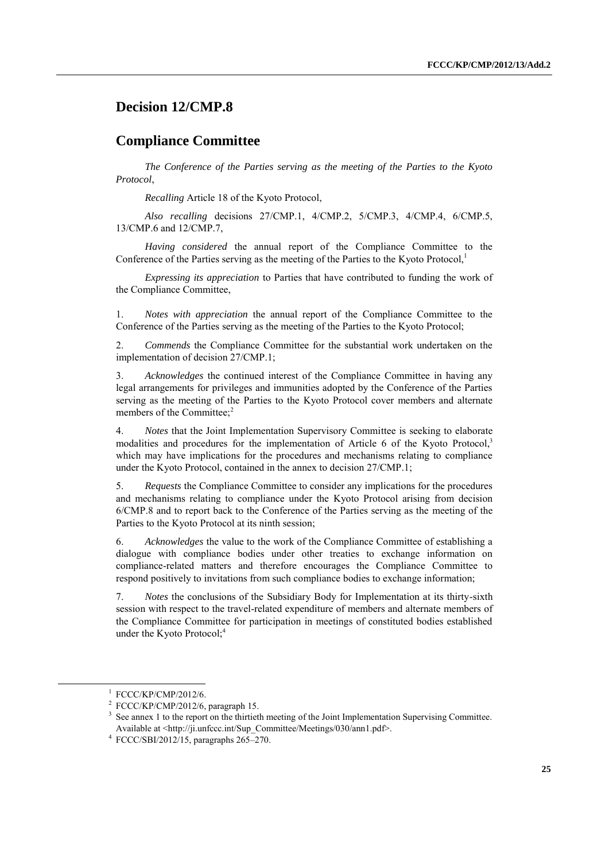## **Decision 12/CMP.8**

### **Compliance Committee**

*The Conference of the Parties serving as the meeting of the Parties to the Kyoto Protocol*,

*Recalling* Article 18 of the Kyoto Protocol,

*Also recalling* decisions 27/CMP.1, 4/CMP.2, 5/CMP.3, 4/CMP.4, 6/CMP.5, 13/CMP.6 and 12/CMP.7,

*Having considered* the annual report of the Compliance Committee to the Conference of the Parties serving as the meeting of the Parties to the Kyoto Protocol.<sup>1</sup>

*Expressing its appreciation* to Parties that have contributed to funding the work of the Compliance Committee,

1. *Notes with appreciation* the annual report of the Compliance Committee to the Conference of the Parties serving as the meeting of the Parties to the Kyoto Protocol;

2. *Commends* the Compliance Committee for the substantial work undertaken on the implementation of decision 27/CMP.1;

3. *Acknowledges* the continued interest of the Compliance Committee in having any legal arrangements for privileges and immunities adopted by the Conference of the Parties serving as the meeting of the Parties to the Kyoto Protocol cover members and alternate members of the Committee;<sup>2</sup>

4. *Notes* that the Joint Implementation Supervisory Committee is seeking to elaborate modalities and procedures for the implementation of Article 6 of the Kyoto Protocol,<sup>3</sup> which may have implications for the procedures and mechanisms relating to compliance under the Kyoto Protocol, contained in the annex to decision 27/CMP.1;

5. *Requests* the Compliance Committee to consider any implications for the procedures and mechanisms relating to compliance under the Kyoto Protocol arising from decision 6/CMP.8 and to report back to the Conference of the Parties serving as the meeting of the Parties to the Kyoto Protocol at its ninth session;

6. *Acknowledges* the value to the work of the Compliance Committee of establishing a dialogue with compliance bodies under other treaties to exchange information on compliance-related matters and therefore encourages the Compliance Committee to respond positively to invitations from such compliance bodies to exchange information;

7. *Notes* the conclusions of the Subsidiary Body for Implementation at its thirty-sixth session with respect to the travel-related expenditure of members and alternate members of the Compliance Committee for participation in meetings of constituted bodies established under the Kyoto Protocol;<sup>4</sup>

1

<sup>1</sup> FCCC/KP/CMP/2012/6.

<sup>&</sup>lt;sup>2</sup> FCCC/KP/CMP/2012/6, paragraph 15.

<sup>&</sup>lt;sup>3</sup> See annex 1 to the report on the thirtieth meeting of the Joint Implementation Supervising Committee. Available at <http://ji.unfccc.int/Sup\_Committee/Meetings/030/ann1.pdf>.

<sup>4</sup> FCCC/SBI/2012/15, paragraphs 265–270.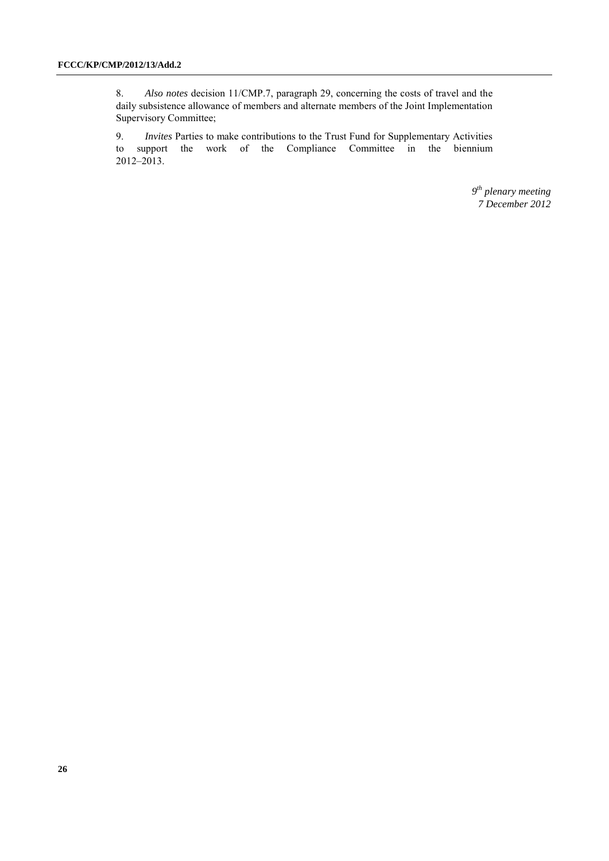8. *Also notes* decision 11/CMP.7, paragraph 29, concerning the costs of travel and the daily subsistence allowance of members and alternate members of the Joint Implementation Supervisory Committee;

9. *Invites* Parties to make contributions to the Trust Fund for Supplementary Activities to support the work of the Compliance Committee in the biennium 2012–2013.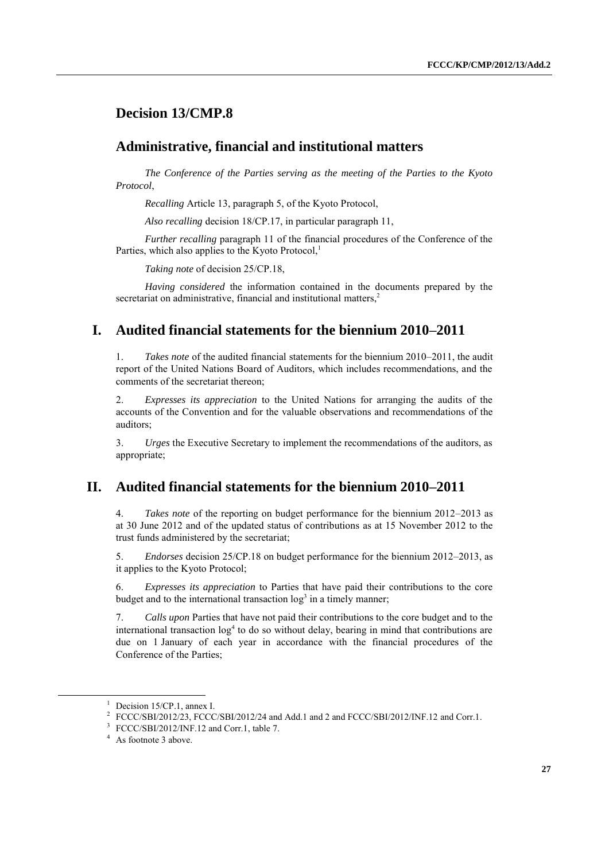## **Decision 13/CMP.8**

### **Administrative, financial and institutional matters**

*The Conference of the Parties serving as the meeting of the Parties to the Kyoto Protocol*,

*Recalling* Article 13, paragraph 5, of the Kyoto Protocol,

*Also recalling* decision 18/CP.17, in particular paragraph 11,

*Further recalling* paragraph 11 of the financial procedures of the Conference of the Parties, which also applies to the Kyoto Protocol,<sup>1</sup>

*Taking note* of decision 25/CP.18,

*Having considered* the information contained in the documents prepared by the secretariat on administrative, financial and institutional matters,<sup>2</sup>

## **I. Audited financial statements for the biennium 2010–2011**

1. *Takes note* of the audited financial statements for the biennium 2010–2011, the audit report of the United Nations Board of Auditors, which includes recommendations, and the comments of the secretariat thereon;

2. *Expresses its appreciation* to the United Nations for arranging the audits of the accounts of the Convention and for the valuable observations and recommendations of the auditors;

3. *Urges* the Executive Secretary to implement the recommendations of the auditors, as appropriate;

### **II. Audited financial statements for the biennium 2010–2011**

4. *Takes note* of the reporting on budget performance for the biennium 2012–2013 as at 30 June 2012 and of the updated status of contributions as at 15 November 2012 to the trust funds administered by the secretariat;

5. *Endorses* decision 25/CP.18 on budget performance for the biennium 2012–2013, as it applies to the Kyoto Protocol;

6. *Expresses its appreciation* to Parties that have paid their contributions to the core budget and to the international transaction  $log<sup>3</sup>$  in a timely manner;

7. *Calls upon* Parties that have not paid their contributions to the core budget and to the international transaction  $\log^4$  to do so without delay, bearing in mind that contributions are due on 1 January of each year in accordance with the financial procedures of the Conference of the Parties;

 $1$  Decision 15/CP.1, annex I.

<sup>&</sup>lt;sup>2</sup> FCCC/SBI/2012/23, FCCC/SBI/2012/24 and Add.1 and 2 and FCCC/SBI/2012/INF.12 and Corr.1.

<sup>&</sup>lt;sup>3</sup> FCCC/SBI/2012/INF.12 and Corr.1, table 7.

<sup>&</sup>lt;sup>4</sup> As footnote 3 above.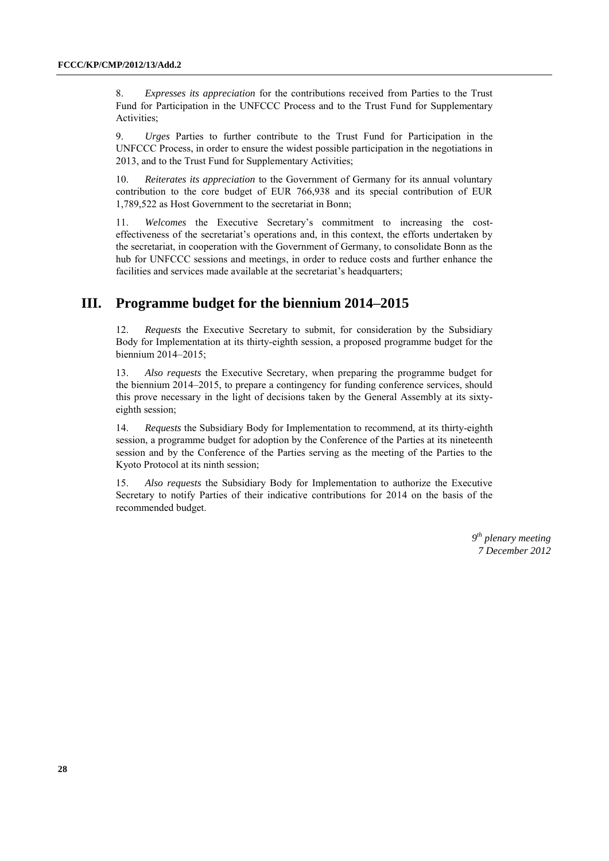8. *Expresses its appreciation* for the contributions received from Parties to the Trust Fund for Participation in the UNFCCC Process and to the Trust Fund for Supplementary Activities;

9. *Urges* Parties to further contribute to the Trust Fund for Participation in the UNFCCC Process, in order to ensure the widest possible participation in the negotiations in 2013, and to the Trust Fund for Supplementary Activities;

10. *Reiterates its appreciation* to the Government of Germany for its annual voluntary contribution to the core budget of EUR 766,938 and its special contribution of EUR 1,789,522 as Host Government to the secretariat in Bonn;

11. *Welcomes* the Executive Secretary's commitment to increasing the costeffectiveness of the secretariat's operations and, in this context, the efforts undertaken by the secretariat, in cooperation with the Government of Germany, to consolidate Bonn as the hub for UNFCCC sessions and meetings, in order to reduce costs and further enhance the facilities and services made available at the secretariat's headquarters;

## **III. Programme budget for the biennium 2014–2015**

12. *Requests* the Executive Secretary to submit, for consideration by the Subsidiary Body for Implementation at its thirty-eighth session, a proposed programme budget for the biennium 2014–2015;

13. *Also requests* the Executive Secretary, when preparing the programme budget for the biennium 2014–2015, to prepare a contingency for funding conference services, should this prove necessary in the light of decisions taken by the General Assembly at its sixtyeighth session;

14. *Requests* the Subsidiary Body for Implementation to recommend, at its thirty-eighth session, a programme budget for adoption by the Conference of the Parties at its nineteenth session and by the Conference of the Parties serving as the meeting of the Parties to the Kyoto Protocol at its ninth session;

15. *Also requests* the Subsidiary Body for Implementation to authorize the Executive Secretary to notify Parties of their indicative contributions for 2014 on the basis of the recommended budget.